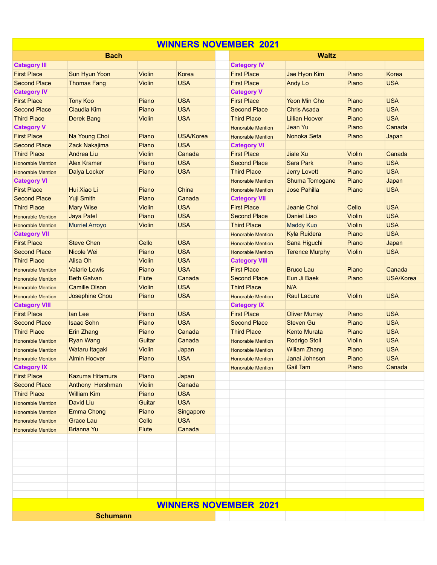| <b>WINNERS NOVEMBER 2021</b> |                       |               |                  |                              |                       |               |                  |  |  |  |  |  |
|------------------------------|-----------------------|---------------|------------------|------------------------------|-----------------------|---------------|------------------|--|--|--|--|--|
|                              | <b>Bach</b>           |               |                  |                              | <b>Waltz</b>          |               |                  |  |  |  |  |  |
| <b>Category III</b>          |                       |               |                  | <b>Category IV</b>           |                       |               |                  |  |  |  |  |  |
| <b>First Place</b>           | Sun Hyun Yoon         | <b>Violin</b> | Korea            | <b>First Place</b>           | Jae Hyon Kim          | Piano         | Korea            |  |  |  |  |  |
| <b>Second Place</b>          | <b>Thomas Fang</b>    | <b>Violin</b> | <b>USA</b>       | <b>First Place</b>           | <b>Andy Lo</b>        | Piano         | <b>USA</b>       |  |  |  |  |  |
| <b>Category IV</b>           |                       |               |                  | <b>Category V</b>            |                       |               |                  |  |  |  |  |  |
| <b>First Place</b>           | <b>Tony Koo</b>       | Piano         | <b>USA</b>       | <b>First Place</b>           | <b>Yeon Min Cho</b>   | Piano         | <b>USA</b>       |  |  |  |  |  |
| <b>Second Place</b>          | <b>Claudia Kim</b>    | Piano         | <b>USA</b>       | <b>Second Place</b>          | <b>Chris Asada</b>    | Piano         | <b>USA</b>       |  |  |  |  |  |
| <b>Third Place</b>           | <b>Derek Bang</b>     | <b>Violin</b> | <b>USA</b>       | <b>Third Place</b>           | <b>Lillian Hoover</b> | Piano         | <b>USA</b>       |  |  |  |  |  |
| <b>Category V</b>            |                       |               |                  | <b>Honorable Mention</b>     | Jean Yu               | Piano         | Canada           |  |  |  |  |  |
| <b>First Place</b>           | Na Young Choi         | Piano         | <b>USA/Korea</b> | <b>Honorable Mention</b>     | Nonoka Seta           | Piano         | Japan            |  |  |  |  |  |
| <b>Second Place</b>          | Zack Nakajima         | Piano         | <b>USA</b>       | <b>Category VI</b>           |                       |               |                  |  |  |  |  |  |
| <b>Third Place</b>           | Andrea Liu            | Violin        | Canada           | <b>First Place</b>           | Jiale Xu              | <b>Violin</b> | Canada           |  |  |  |  |  |
| <b>Honorable Mention</b>     | <b>Alex Kramer</b>    | Piano         | <b>USA</b>       | <b>Second Place</b>          | Sara Park             | Piano         | <b>USA</b>       |  |  |  |  |  |
| <b>Honorable Mention</b>     | Dalya Locker          | Piano         | <b>USA</b>       | <b>Third Place</b>           | <b>Jerry Lovett</b>   | Piano         | <b>USA</b>       |  |  |  |  |  |
| <b>Category VI</b>           |                       |               |                  | <b>Honorable Mention</b>     | <b>Shuma Tomogane</b> | Piano         | Japan            |  |  |  |  |  |
| <b>First Place</b>           | Hui Xiao Li           | Piano         | China            | <b>Honorable Mention</b>     | <b>Jose Pahilla</b>   | Piano         | <b>USA</b>       |  |  |  |  |  |
| <b>Second Place</b>          | Yuji Smith            | Piano         | Canada           | <b>Category VII</b>          |                       |               |                  |  |  |  |  |  |
| <b>Third Place</b>           | <b>Mary Wise</b>      | <b>Violin</b> | <b>USA</b>       | <b>First Place</b>           | Jeanie Choi           | Cello         | <b>USA</b>       |  |  |  |  |  |
| <b>Honorable Mention</b>     | <b>Jaya Patel</b>     | Piano         | <b>USA</b>       | <b>Second Place</b>          | Daniel Liao           | <b>Violin</b> | <b>USA</b>       |  |  |  |  |  |
| <b>Honorable Mention</b>     | <b>Murriel Arroyo</b> | <b>Violin</b> | <b>USA</b>       | <b>Third Place</b>           | <b>Maddy Kuo</b>      | <b>Violin</b> | <b>USA</b>       |  |  |  |  |  |
| <b>Category VII</b>          |                       |               |                  | <b>Honorable Mention</b>     | Kyla Ruidera          | Piano         | <b>USA</b>       |  |  |  |  |  |
| <b>First Place</b>           | <b>Steve Chen</b>     | Cello         | <b>USA</b>       | <b>Honorable Mention</b>     | Sana Higuchi          | Piano         | Japan            |  |  |  |  |  |
| <b>Second Place</b>          | Nicole Wei            | Piano         | <b>USA</b>       | <b>Honorable Mention</b>     | <b>Terence Murphy</b> | <b>Violin</b> | <b>USA</b>       |  |  |  |  |  |
| <b>Third Place</b>           | Alisa Oh              | Violin        | <b>USA</b>       | <b>Category VIII</b>         |                       |               |                  |  |  |  |  |  |
| <b>Honorable Mention</b>     | <b>Valarie Lewis</b>  | Piano         | <b>USA</b>       | <b>First Place</b>           | <b>Bruce Lau</b>      | Piano         | Canada           |  |  |  |  |  |
| <b>Honorable Mention</b>     | <b>Beth Galvan</b>    | Flute         | Canada           | <b>Second Place</b>          | Eun Ji Baek           | Piano         | <b>USA/Korea</b> |  |  |  |  |  |
| <b>Honorable Mention</b>     | <b>Camille Olson</b>  | <b>Violin</b> | <b>USA</b>       | <b>Third Place</b>           | N/A                   |               |                  |  |  |  |  |  |
| <b>Honorable Mention</b>     | Josephine Chou        | Piano         | <b>USA</b>       | <b>Honorable Mention</b>     | <b>Raul Lacure</b>    | <b>Violin</b> | <b>USA</b>       |  |  |  |  |  |
| <b>Category VIII</b>         |                       |               |                  | <b>Category IX</b>           |                       |               |                  |  |  |  |  |  |
| <b>First Place</b>           | lan Lee               | Piano         | <b>USA</b>       | <b>First Place</b>           | <b>Oliver Murray</b>  | Piano         | <b>USA</b>       |  |  |  |  |  |
| <b>Second Place</b>          | <b>Isaac Sohn</b>     | Piano         | <b>USA</b>       | <b>Second Place</b>          | <b>Steven Gu</b>      | Piano         | <b>USA</b>       |  |  |  |  |  |
| <b>Third Place</b>           | <b>Erin Zhang</b>     | Piano         | Canada           | <b>Third Place</b>           | <b>Kento Murata</b>   | Piano         | <b>USA</b>       |  |  |  |  |  |
| <b>Honorable Mention</b>     | <b>Ryan Wang</b>      | Guitar        | Canada           | <b>Honorable Mention</b>     | <b>Rodrigo Stoll</b>  | <b>Violin</b> | <b>USA</b>       |  |  |  |  |  |
| <b>Honorable Mention</b>     | Wataru Itagaki        | <b>Violin</b> | Japan            | <b>Honorable Mention</b>     | <b>Wiliam Zhang</b>   | Piano         | <b>USA</b>       |  |  |  |  |  |
| <b>Honorable Mention</b>     | <b>Almin Hoover</b>   | Piano         | <b>USA</b>       | <b>Honorable Mention</b>     | Janai Johnson         | Piano         | <b>USA</b>       |  |  |  |  |  |
| <b>Category IX</b>           |                       |               |                  | <b>Honorable Mention</b>     | <b>Gail Tam</b>       | Piano         | Canada           |  |  |  |  |  |
| <b>First Place</b>           | Kazuma Hitamura       | Piano         | Japan            |                              |                       |               |                  |  |  |  |  |  |
| <b>Second Place</b>          | Anthony Hershman      | Violin        | Canada           |                              |                       |               |                  |  |  |  |  |  |
| <b>Third Place</b>           | <b>William Kim</b>    | Piano         | <b>USA</b>       |                              |                       |               |                  |  |  |  |  |  |
| <b>Honorable Mention</b>     | <b>David Liu</b>      | Guitar        | <b>USA</b>       |                              |                       |               |                  |  |  |  |  |  |
| <b>Honorable Mention</b>     | <b>Emma Chong</b>     | Piano         | Singapore        |                              |                       |               |                  |  |  |  |  |  |
| <b>Honorable Mention</b>     | <b>Grace Lau</b>      | Cello         | <b>USA</b>       |                              |                       |               |                  |  |  |  |  |  |
| <b>Honorable Mention</b>     | <b>Brianna Yu</b>     | <b>Flute</b>  | Canada           |                              |                       |               |                  |  |  |  |  |  |
|                              |                       |               |                  |                              |                       |               |                  |  |  |  |  |  |
|                              |                       |               |                  |                              |                       |               |                  |  |  |  |  |  |
|                              |                       |               |                  |                              |                       |               |                  |  |  |  |  |  |
|                              |                       |               |                  |                              |                       |               |                  |  |  |  |  |  |
|                              |                       |               |                  |                              |                       |               |                  |  |  |  |  |  |
|                              |                       |               |                  |                              |                       |               |                  |  |  |  |  |  |
|                              |                       |               |                  |                              |                       |               |                  |  |  |  |  |  |
|                              |                       |               |                  | <b>WINNERS NOVEMBER 2021</b> |                       |               |                  |  |  |  |  |  |
|                              |                       |               |                  |                              |                       |               |                  |  |  |  |  |  |
|                              | <b>Schumann</b>       |               |                  |                              |                       |               |                  |  |  |  |  |  |